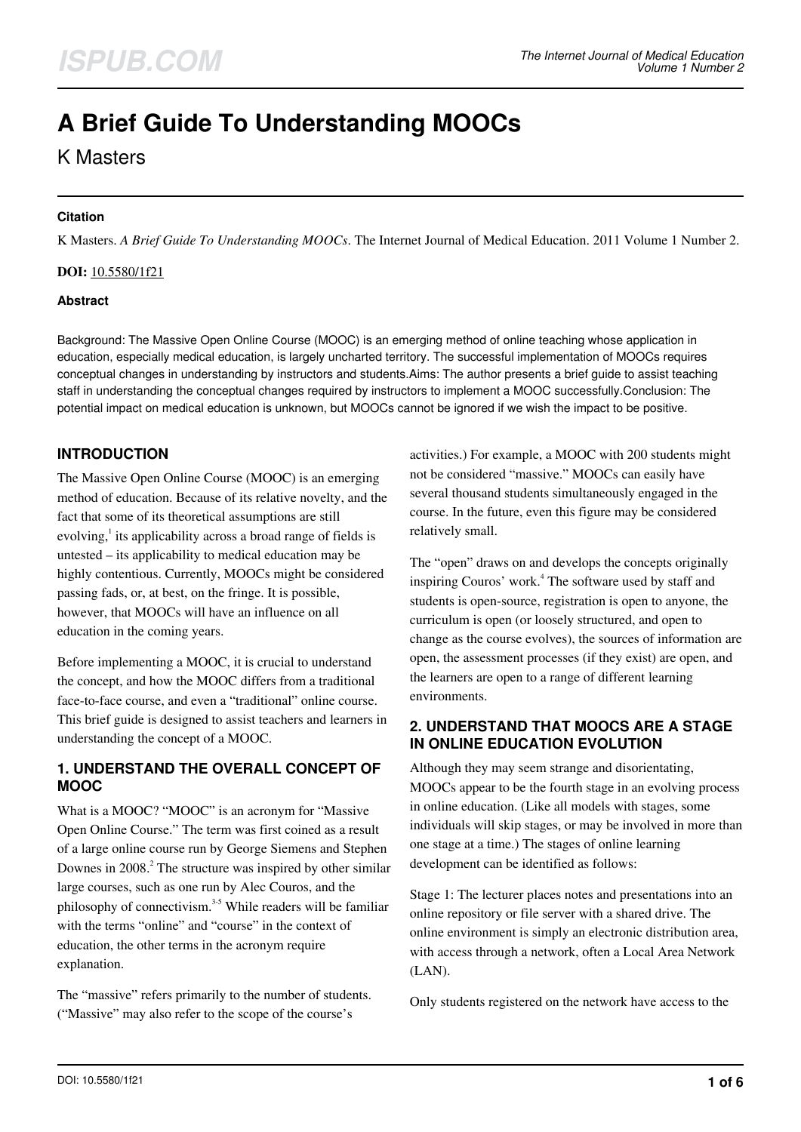# **A Brief Guide To Understanding MOOCs**

K Masters

#### **Citation**

K Masters. *A Brief Guide To Understanding MOOCs*. The Internet Journal of Medical Education. 2011 Volume 1 Number 2.

#### **DOI:** [10.5580/1f21](https://ispub.com/doi/10.5580/1f21)

#### **Abstract**

Background: The Massive Open Online Course (MOOC) is an emerging method of online teaching whose application in education, especially medical education, is largely uncharted territory. The successful implementation of MOOCs requires conceptual changes in understanding by instructors and students.Aims: The author presents a brief guide to assist teaching staff in understanding the conceptual changes required by instructors to implement a MOOC successfully.Conclusion: The potential impact on medical education is unknown, but MOOCs cannot be ignored if we wish the impact to be positive.

# **INTRODUCTION**

The Massive Open Online Course (MOOC) is an emerging method of education. Because of its relative novelty, and the fact that some of its theoretical assumptions are still evolving,<sup>1</sup> its applicability across a broad range of fields is untested – its applicability to medical education may be highly contentious. Currently, MOOCs might be considered passing fads, or, at best, on the fringe. It is possible, however, that MOOCs will have an influence on all education in the coming years.

Before implementing a MOOC, it is crucial to understand the concept, and how the MOOC differs from a traditional face-to-face course, and even a "traditional" online course. This brief guide is designed to assist teachers and learners in understanding the concept of a MOOC.

#### **1. UNDERSTAND THE OVERALL CONCEPT OF MOOC**

What is a MOOC? "MOOC" is an acronym for "Massive Open Online Course." The term was first coined as a result of a large online course run by George Siemens and Stephen Downes in 2008. $^2$  The structure was inspired by other similar large courses, such as one run by Alec Couros, and the philosophy of connectivism.<sup>3-5</sup> While readers will be familiar with the terms "online" and "course" in the context of education, the other terms in the acronym require explanation.

The "massive" refers primarily to the number of students. ("Massive" may also refer to the scope of the course's

activities.) For example, a MOOC with 200 students might not be considered "massive." MOOCs can easily have several thousand students simultaneously engaged in the course. In the future, even this figure may be considered relatively small.

The "open" draws on and develops the concepts originally inspiring Couros' work.<sup>4</sup> The software used by staff and students is open-source, registration is open to anyone, the curriculum is open (or loosely structured, and open to change as the course evolves), the sources of information are open, the assessment processes (if they exist) are open, and the learners are open to a range of different learning environments.

## **2. UNDERSTAND THAT MOOCS ARE A STAGE IN ONLINE EDUCATION EVOLUTION**

Although they may seem strange and disorientating, MOOCs appear to be the fourth stage in an evolving process in online education. (Like all models with stages, some individuals will skip stages, or may be involved in more than one stage at a time.) The stages of online learning development can be identified as follows:

Stage 1: The lecturer places notes and presentations into an online repository or file server with a shared drive. The online environment is simply an electronic distribution area, with access through a network, often a Local Area Network (LAN).

Only students registered on the network have access to the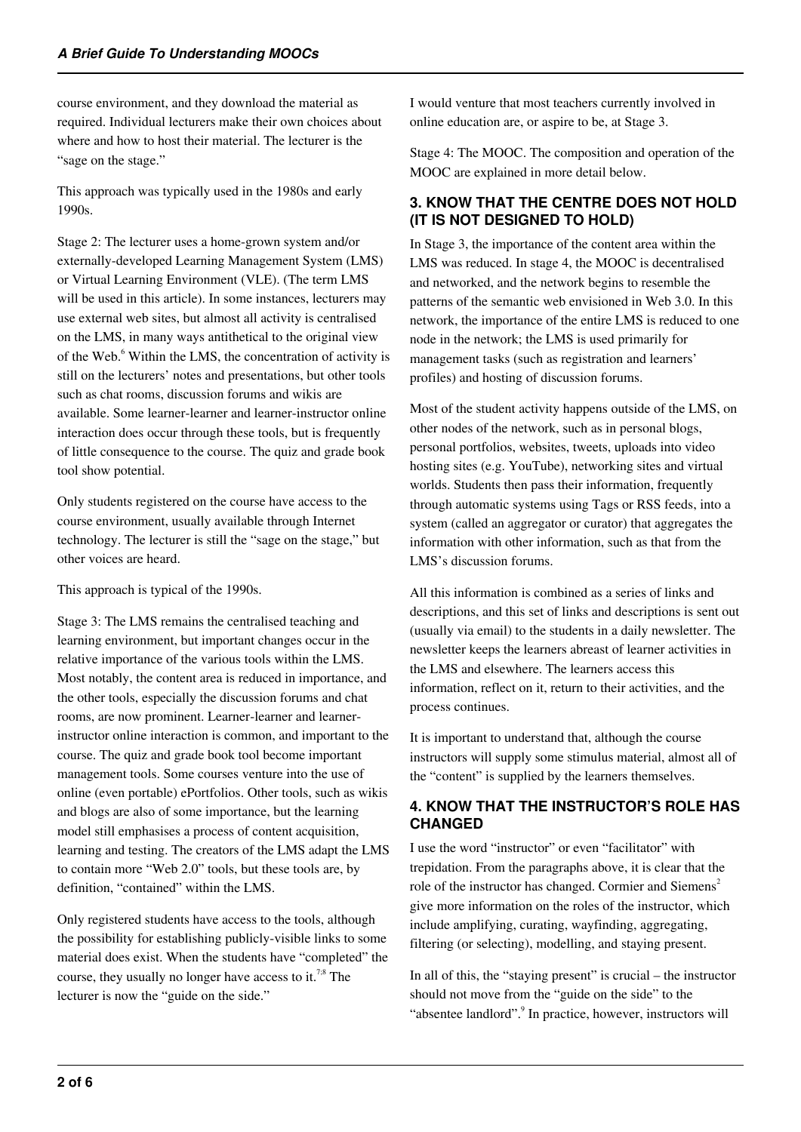course environment, and they download the material as required. Individual lecturers make their own choices about where and how to host their material. The lecturer is the "sage on the stage."

This approach was typically used in the 1980s and early 1990s.

Stage 2: The lecturer uses a home-grown system and/or externally-developed Learning Management System (LMS) or Virtual Learning Environment (VLE). (The term LMS will be used in this article). In some instances, lecturers may use external web sites, but almost all activity is centralised on the LMS, in many ways antithetical to the original view of the Web.<sup>6</sup> Within the LMS, the concentration of activity is still on the lecturers' notes and presentations, but other tools such as chat rooms, discussion forums and wikis are available. Some learner-learner and learner-instructor online interaction does occur through these tools, but is frequently of little consequence to the course. The quiz and grade book tool show potential.

Only students registered on the course have access to the course environment, usually available through Internet technology. The lecturer is still the "sage on the stage," but other voices are heard.

This approach is typical of the 1990s.

Stage 3: The LMS remains the centralised teaching and learning environment, but important changes occur in the relative importance of the various tools within the LMS. Most notably, the content area is reduced in importance, and the other tools, especially the discussion forums and chat rooms, are now prominent. Learner-learner and learnerinstructor online interaction is common, and important to the course. The quiz and grade book tool become important management tools. Some courses venture into the use of online (even portable) ePortfolios. Other tools, such as wikis and blogs are also of some importance, but the learning model still emphasises a process of content acquisition, learning and testing. The creators of the LMS adapt the LMS to contain more "Web 2.0" tools, but these tools are, by definition, "contained" within the LMS.

Only registered students have access to the tools, although the possibility for establishing publicly-visible links to some material does exist. When the students have "completed" the course, they usually no longer have access to it.<sup>7;8</sup> The lecturer is now the "guide on the side."

I would venture that most teachers currently involved in online education are, or aspire to be, at Stage 3.

Stage 4: The MOOC. The composition and operation of the MOOC are explained in more detail below.

# **3. KNOW THAT THE CENTRE DOES NOT HOLD (IT IS NOT DESIGNED TO HOLD)**

In Stage 3, the importance of the content area within the LMS was reduced. In stage 4, the MOOC is decentralised and networked, and the network begins to resemble the patterns of the semantic web envisioned in Web 3.0. In this network, the importance of the entire LMS is reduced to one node in the network; the LMS is used primarily for management tasks (such as registration and learners' profiles) and hosting of discussion forums.

Most of the student activity happens outside of the LMS, on other nodes of the network, such as in personal blogs, personal portfolios, websites, tweets, uploads into video hosting sites (e.g. YouTube), networking sites and virtual worlds. Students then pass their information, frequently through automatic systems using Tags or RSS feeds, into a system (called an aggregator or curator) that aggregates the information with other information, such as that from the LMS's discussion forums.

All this information is combined as a series of links and descriptions, and this set of links and descriptions is sent out (usually via email) to the students in a daily newsletter. The newsletter keeps the learners abreast of learner activities in the LMS and elsewhere. The learners access this information, reflect on it, return to their activities, and the process continues.

It is important to understand that, although the course instructors will supply some stimulus material, almost all of the "content" is supplied by the learners themselves.

# **4. KNOW THAT THE INSTRUCTOR'S ROLE HAS CHANGED**

I use the word "instructor" or even "facilitator" with trepidation. From the paragraphs above, it is clear that the role of the instructor has changed. Cormier and Siemens<sup>2</sup> give more information on the roles of the instructor, which include amplifying, curating, wayfinding, aggregating, filtering (or selecting), modelling, and staying present.

In all of this, the "staying present" is crucial – the instructor should not move from the "guide on the side" to the "absentee landlord". <sup>9</sup> In practice, however, instructors will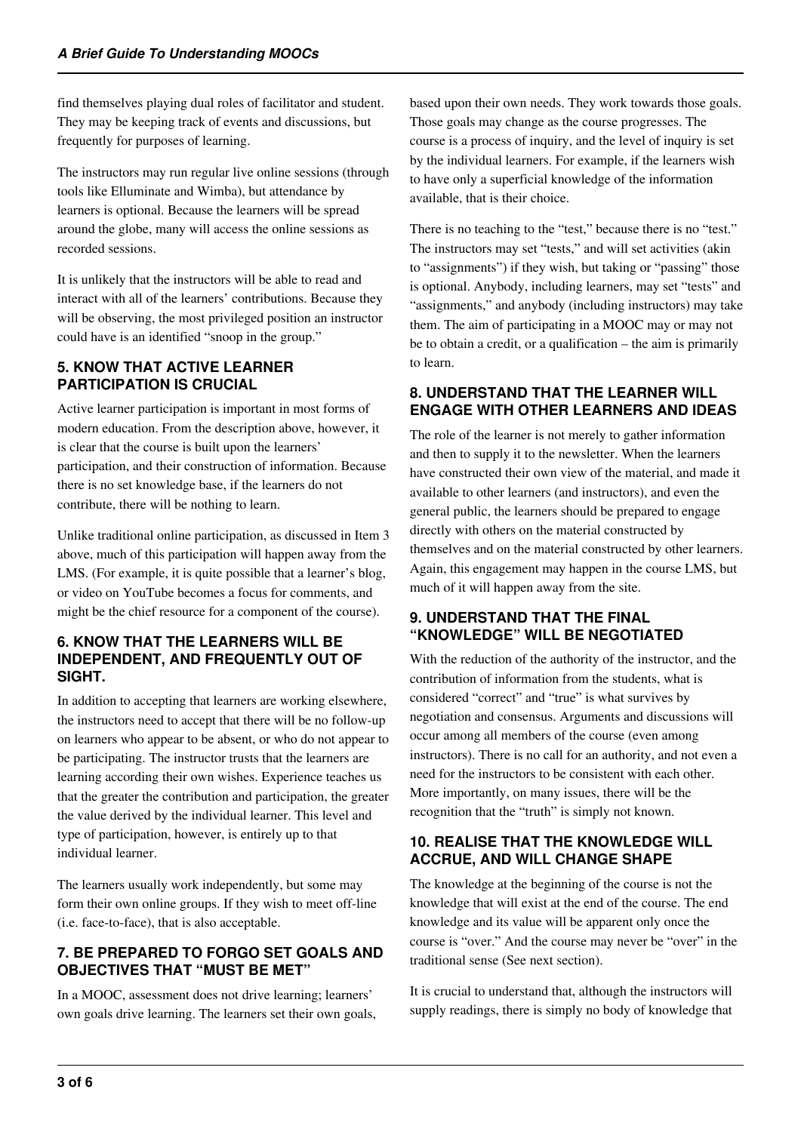find themselves playing dual roles of facilitator and student. They may be keeping track of events and discussions, but frequently for purposes of learning.

The instructors may run regular live online sessions (through tools like Elluminate and Wimba), but attendance by learners is optional. Because the learners will be spread around the globe, many will access the online sessions as recorded sessions.

It is unlikely that the instructors will be able to read and interact with all of the learners' contributions. Because they will be observing, the most privileged position an instructor could have is an identified "snoop in the group."

## **5. KNOW THAT ACTIVE LEARNER PARTICIPATION IS CRUCIAL**

Active learner participation is important in most forms of modern education. From the description above, however, it is clear that the course is built upon the learners' participation, and their construction of information. Because there is no set knowledge base, if the learners do not contribute, there will be nothing to learn.

Unlike traditional online participation, as discussed in Item 3 above, much of this participation will happen away from the LMS. (For example, it is quite possible that a learner's blog, or video on YouTube becomes a focus for comments, and might be the chief resource for a component of the course).

#### **6. KNOW THAT THE LEARNERS WILL BE INDEPENDENT, AND FREQUENTLY OUT OF SIGHT.**

In addition to accepting that learners are working elsewhere, the instructors need to accept that there will be no follow-up on learners who appear to be absent, or who do not appear to be participating. The instructor trusts that the learners are learning according their own wishes. Experience teaches us that the greater the contribution and participation, the greater the value derived by the individual learner. This level and type of participation, however, is entirely up to that individual learner.

The learners usually work independently, but some may form their own online groups. If they wish to meet off-line (i.e. face-to-face), that is also acceptable.

## **7. BE PREPARED TO FORGO SET GOALS AND OBJECTIVES THAT "MUST BE MET"**

In a MOOC, assessment does not drive learning; learners' own goals drive learning. The learners set their own goals, based upon their own needs. They work towards those goals. Those goals may change as the course progresses. The course is a process of inquiry, and the level of inquiry is set by the individual learners. For example, if the learners wish to have only a superficial knowledge of the information available, that is their choice.

There is no teaching to the "test," because there is no "test." The instructors may set "tests," and will set activities (akin to "assignments") if they wish, but taking or "passing" those is optional. Anybody, including learners, may set "tests" and "assignments," and anybody (including instructors) may take them. The aim of participating in a MOOC may or may not be to obtain a credit, or a qualification – the aim is primarily to learn.

## **8. UNDERSTAND THAT THE LEARNER WILL ENGAGE WITH OTHER LEARNERS AND IDEAS**

The role of the learner is not merely to gather information and then to supply it to the newsletter. When the learners have constructed their own view of the material, and made it available to other learners (and instructors), and even the general public, the learners should be prepared to engage directly with others on the material constructed by themselves and on the material constructed by other learners. Again, this engagement may happen in the course LMS, but much of it will happen away from the site.

## **9. UNDERSTAND THAT THE FINAL "KNOWLEDGE" WILL BE NEGOTIATED**

With the reduction of the authority of the instructor, and the contribution of information from the students, what is considered "correct" and "true" is what survives by negotiation and consensus. Arguments and discussions will occur among all members of the course (even among instructors). There is no call for an authority, and not even a need for the instructors to be consistent with each other. More importantly, on many issues, there will be the recognition that the "truth" is simply not known.

## **10. REALISE THAT THE KNOWLEDGE WILL ACCRUE, AND WILL CHANGE SHAPE**

The knowledge at the beginning of the course is not the knowledge that will exist at the end of the course. The end knowledge and its value will be apparent only once the course is "over." And the course may never be "over" in the traditional sense (See next section).

It is crucial to understand that, although the instructors will supply readings, there is simply no body of knowledge that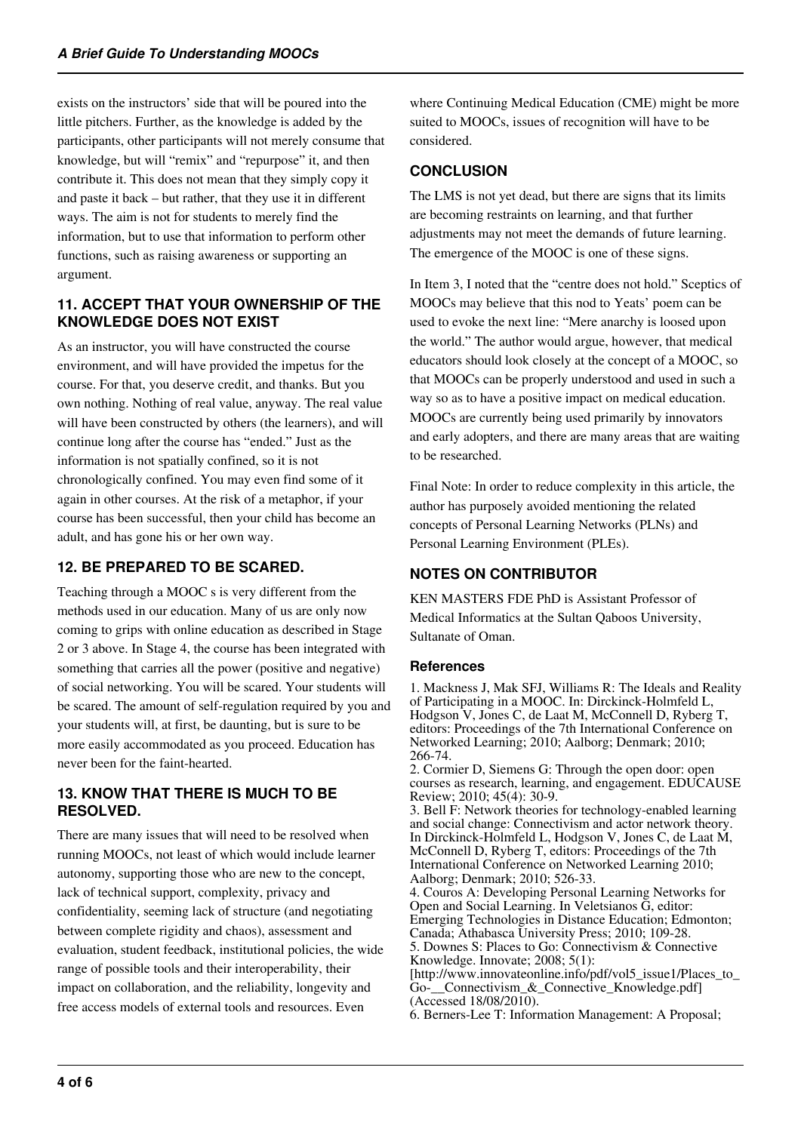exists on the instructors' side that will be poured into the little pitchers. Further, as the knowledge is added by the participants, other participants will not merely consume that knowledge, but will "remix" and "repurpose" it, and then contribute it. This does not mean that they simply copy it and paste it back – but rather, that they use it in different ways. The aim is not for students to merely find the information, but to use that information to perform other functions, such as raising awareness or supporting an argument.

#### **11. ACCEPT THAT YOUR OWNERSHIP OF THE KNOWLEDGE DOES NOT EXIST**

As an instructor, you will have constructed the course environment, and will have provided the impetus for the course. For that, you deserve credit, and thanks. But you own nothing. Nothing of real value, anyway. The real value will have been constructed by others (the learners), and will continue long after the course has "ended." Just as the information is not spatially confined, so it is not chronologically confined. You may even find some of it again in other courses. At the risk of a metaphor, if your course has been successful, then your child has become an adult, and has gone his or her own way.

# **12. BE PREPARED TO BE SCARED.**

Teaching through a MOOC s is very different from the methods used in our education. Many of us are only now coming to grips with online education as described in Stage 2 or 3 above. In Stage 4, the course has been integrated with something that carries all the power (positive and negative) of social networking. You will be scared. Your students will be scared. The amount of self-regulation required by you and your students will, at first, be daunting, but is sure to be more easily accommodated as you proceed. Education has never been for the faint-hearted.

#### **13. KNOW THAT THERE IS MUCH TO BE RESOLVED.**

There are many issues that will need to be resolved when running MOOCs, not least of which would include learner autonomy, supporting those who are new to the concept, lack of technical support, complexity, privacy and confidentiality, seeming lack of structure (and negotiating between complete rigidity and chaos), assessment and evaluation, student feedback, institutional policies, the wide range of possible tools and their interoperability, their impact on collaboration, and the reliability, longevity and free access models of external tools and resources. Even

where Continuing Medical Education (CME) might be more suited to MOOCs, issues of recognition will have to be considered.

## **CONCLUSION**

The LMS is not yet dead, but there are signs that its limits are becoming restraints on learning, and that further adjustments may not meet the demands of future learning. The emergence of the MOOC is one of these signs.

In Item 3, I noted that the "centre does not hold." Sceptics of MOOCs may believe that this nod to Yeats' poem can be used to evoke the next line: "Mere anarchy is loosed upon the world." The author would argue, however, that medical educators should look closely at the concept of a MOOC, so that MOOCs can be properly understood and used in such a way so as to have a positive impact on medical education. MOOCs are currently being used primarily by innovators and early adopters, and there are many areas that are waiting to be researched.

Final Note: In order to reduce complexity in this article, the author has purposely avoided mentioning the related concepts of Personal Learning Networks (PLNs) and Personal Learning Environment (PLEs).

# **NOTES ON CONTRIBUTOR**

KEN MASTERS FDE PhD is Assistant Professor of Medical Informatics at the Sultan Qaboos University, Sultanate of Oman.

#### **References**

1. Mackness J, Mak SFJ, Williams R: The Ideals and Reality of Participating in a MOOC. In: Dirckinck-Holmfeld L, Hodgson V, Jones C, de Laat M, McConnell D, Ryberg T, editors: Proceedings of the 7th International Conference on Networked Learning; 2010; Aalborg; Denmark; 2010; 266-74.

2. Cormier D, Siemens G: Through the open door: open courses as research, learning, and engagement. EDUCAUSE Review; 2010; 45(4): 30-9.

3. Bell F: Network theories for technology-enabled learning and social change: Connectivism and actor network theory. In Dirckinck-Holmfeld L, Hodgson V, Jones C, de Laat M, McConnell D, Ryberg T, editors: Proceedings of the 7th International Conference on Networked Learning 2010; Aalborg; Denmark; 2010; 526-33.

4. Couros A: Developing Personal Learning Networks for Open and Social Learning. In Veletsianos G, editor: Emerging Technologies in Distance Education; Edmonton; Canada; Athabasca University Press; 2010; 109-28. 5. Downes S: Places to Go: Connectivism & Connective Knowledge. Innovate; 2008; 5(1): [http://www.innovateonline.info/pdf/vol5\_issue1/Places\_to\_ Go-\_\_Connectivism\_&\_Connective\_Knowledge.pdf]

(Accessed 18/08/2010). 6. Berners-Lee T: Information Management: A Proposal;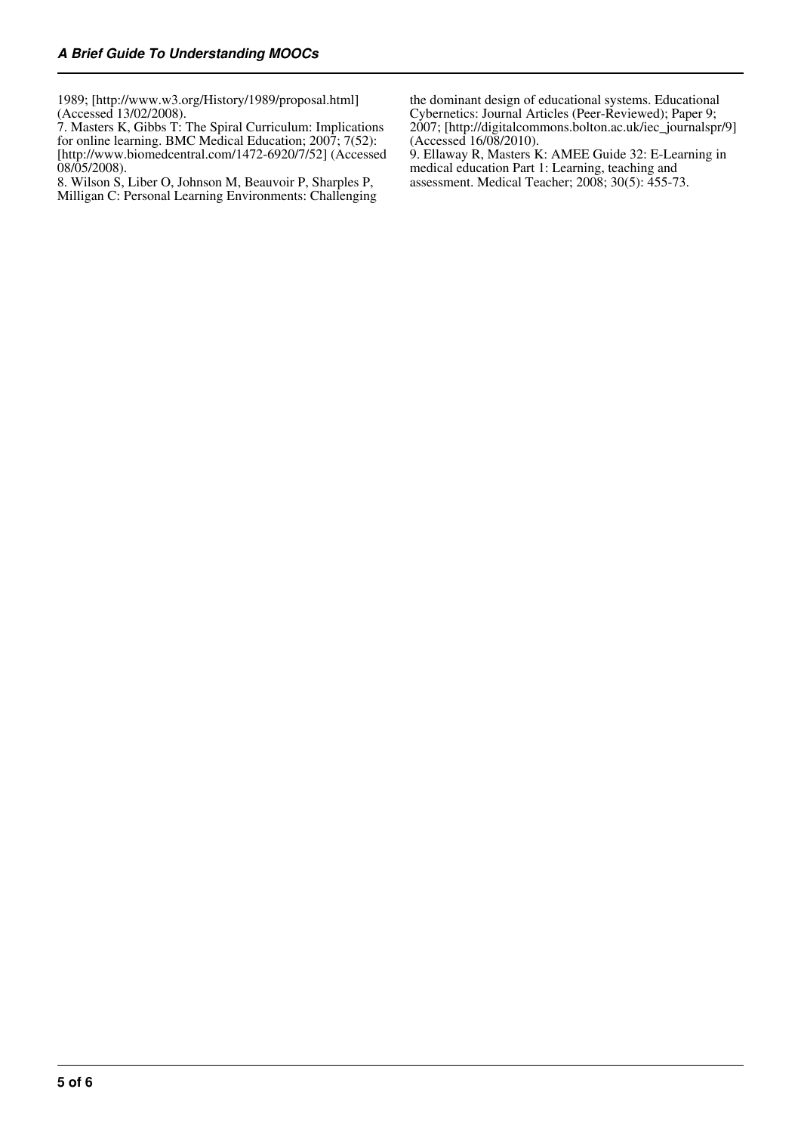1989; [http://www.w3.org/History/1989/proposal.html] (Accessed 13/02/2008).

7. Masters K, Gibbs T: The Spiral Curriculum: Implications for online learning. BMC Medical Education; 2007; 7(52): [http://www.biomedcentral.com/1472-6920/7/52] (Accessed  $08/05/2008$ ).

8. Wilson S, Liber O, Johnson M, Beauvoir P, Sharples P, Milligan C: Personal Learning Environments: Challenging the dominant design of educational systems. Educational Cybernetics: Journal Articles (Peer-Reviewed); Paper 9; 2007; [http://digitalcommons.bolton.ac.uk/iec\_journalspr/9] (Accessed 16/08/2010).

9. Ellaway R, Masters K: AMEE Guide 32: E-Learning in medical education Part 1: Learning, teaching and assessment. Medical Teacher; 2008; 30(5): 455-73.